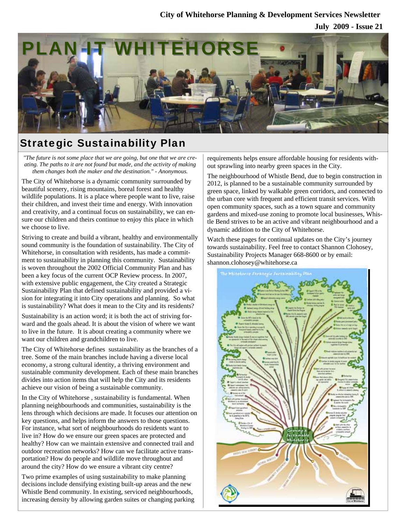### **City of Whitehorse Planning & Development Services Newsletter**

**July 2009 - Issue 21**



### Strategic Sustainability Plan

*"The future is not some place that we are going, but one that we are creating. The paths to it are not found but made, and the activity of making them changes both the maker and the destination." - Anonymous.* 

The City of Whitehorse is a dynamic community surrounded by beautiful scenery, rising mountains, boreal forest and healthy wildlife populations. It is a place where people want to live, raise their children, and invest their time and energy. With innovation and creativity, and a continual focus on sustainability, we can ensure our children and theirs continue to enjoy this place in which we choose to live.

Striving to create and build a vibrant, healthy and environmentally sound community is the foundation of sustainability. The City of Whitehorse, in consultation with residents, has made a commitment to sustainability in planning this community. Sustainability is woven throughout the 2002 Official Community Plan and has been a key focus of the current OCP Review process. In 2007, with extensive public engagement, the City created a Strategic Sustainability Plan that defined sustainability and provided a vision for integrating it into City operations and planning. So what is sustainability? What does it mean to the City and its residents?

Sustainability is an action word; it is both the act of striving forward and the goals ahead. It is about the vision of where we want to live in the future. It is about creating a community where we want our children and grandchildren to live.

The City of Whitehorse defines sustainability as the branches of a tree. Some of the main branches include having a diverse local economy, a strong cultural identity, a thriving environment and sustainable community development. Each of these main branches divides into action items that will help the City and its residents achieve our vision of being a sustainable community.

In the City of Whitehorse , sustainability is fundamental. When planning neighbourhoods and communities, sustainability is the lens through which decisions are made. It focuses our attention on key questions, and helps inform the answers to those questions. For instance, what sort of neighbourhoods do residents want to live in? How do we ensure our green spaces are protected and healthy? How can we maintain extensive and connected trail and outdoor recreation networks? How can we facilitate active transportation? How do people and wildlife move throughout and around the city? How do we ensure a vibrant city centre?

Two prime examples of using sustainability to make planning decisions include densifying existing built-up areas and the new Whistle Bend community. In existing, serviced neighbourhoods, increasing density by allowing garden suites or changing parking requirements helps ensure affordable housing for residents without sprawling into nearby green spaces in the City.

The neighbourhood of Whistle Bend, due to begin construction in 2012, is planned to be a sustainable community surrounded by green space, linked by walkable green corridors, and connected to the urban core with frequent and efficient transit services. With open community spaces, such as a town square and community gardens and mixed-use zoning to promote local businesses, Whistle Bend strives to be an active and vibrant neighbourhood and a dynamic addition to the City of Whitehorse.

Watch these pages for continual updates on the City's journey towards sustainability. Feel free to contact Shannon Clohosey, Sustainability Projects Manager 668-8600 or by email: shannon.clohosey@whitehorse.ca